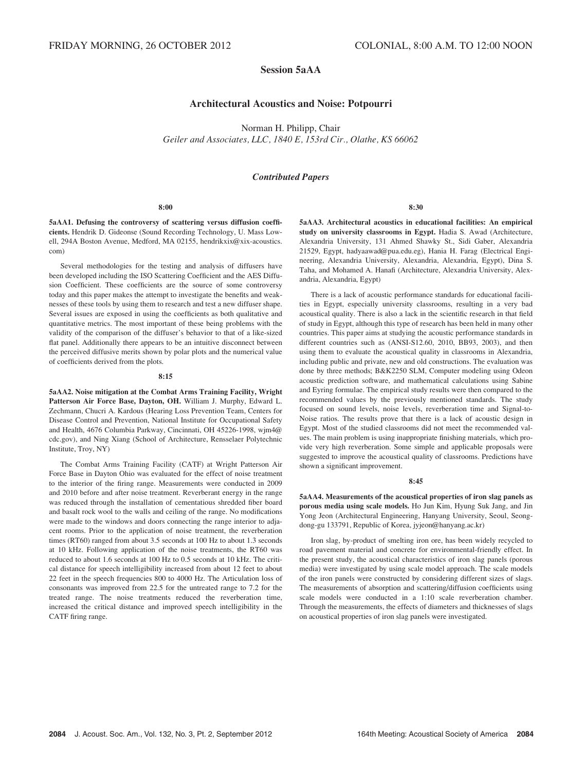# Session 5aAA

## Architectural Acoustics and Noise: Potpourri

Norman H. Philipp, Chair Geiler and Associates, LLC, 1840 E, 153rd Cir., Olathe, KS 66062

## Contributed Papers

#### 8:00

5aAA1. Defusing the controversy of scattering versus diffusion coefficients. Hendrik D. Gideonse (Sound Recording Technology, U. Mass Lowell, 294A Boston Avenue, Medford, MA 02155, hendrikxix@xix-acoustics. com)

Several methodologies for the testing and analysis of diffusers have been developed including the ISO Scattering Coefficient and the AES Diffusion Coefficient. These coefficients are the source of some controversy today and this paper makes the attempt to investigate the benefits and weaknesses of these tools by using them to research and test a new diffuser shape. Several issues are exposed in using the coefficients as both qualitative and quantitative metrics. The most important of these being problems with the validity of the comparison of the diffuser's behavior to that of a like-sized flat panel. Additionally there appears to be an intuitive disconnect between the perceived diffusive merits shown by polar plots and the numerical value of coefficients derived from the plots.

## 8:15

5aAA2. Noise mitigation at the Combat Arms Training Facility, Wright Patterson Air Force Base, Dayton, OH. William J. Murphy, Edward L. Zechmann, Chucri A. Kardous (Hearing Loss Prevention Team, Centers for Disease Control and Prevention, National Institute for Occupational Safety and Health, 4676 Columbia Parkway, Cincinnati, OH 45226-1998, wjm4@ cdc.gov), and Ning Xiang (School of Architecture, Rensselaer Polytechnic Institute, Troy, NY)

The Combat Arms Training Facility (CATF) at Wright Patterson Air Force Base in Dayton Ohio was evaluated for the effect of noise treatment to the interior of the firing range. Measurements were conducted in 2009 and 2010 before and after noise treatment. Reverberant energy in the range was reduced through the installation of cementatious shredded fiber board and basalt rock wool to the walls and ceiling of the range. No modifications were made to the windows and doors connecting the range interior to adjacent rooms. Prior to the application of noise treatment, the reverberation times (RT60) ranged from about 3.5 seconds at 100 Hz to about 1.3 seconds at 10 kHz. Following application of the noise treatments, the RT60 was reduced to about 1.6 seconds at 100 Hz to 0.5 seconds at 10 kHz. The critical distance for speech intelligibility increased from about 12 feet to about 22 feet in the speech frequencies 800 to 4000 Hz. The Articulation loss of consonants was improved from 22.5 for the untreated range to 7.2 for the treated range. The noise treatments reduced the reverberation time, increased the critical distance and improved speech intelligibility in the CATF firing range.

8:30

5aAA3. Architectural acoustics in educational facilities: An empirical study on university classrooms in Egypt. Hadia S. Awad (Architecture, Alexandria University, 131 Ahmed Shawky St., Sidi Gaber, Alexandria 21529, Egypt, hadyaawad@pua.edu.eg), Hania H. Farag (Electrical Engineering, Alexandria University, Alexandria, Alexandria, Egypt), Dina S. Taha, and Mohamed A. Hanafi (Architecture, Alexandria University, Alexandria, Alexandria, Egypt)

There is a lack of acoustic performance standards for educational facilities in Egypt, especially university classrooms, resulting in a very bad acoustical quality. There is also a lack in the scientific research in that field of study in Egypt, although this type of research has been held in many other countries. This paper aims at studying the acoustic performance standards in different countries such as (ANSI-S12.60, 2010, BB93, 2003), and then using them to evaluate the acoustical quality in classrooms in Alexandria, including public and private, new and old constructions. The evaluation was done by three methods; B&K2250 SLM, Computer modeling using Odeon acoustic prediction software, and mathematical calculations using Sabine and Eyring formulae. The empirical study results were then compared to the recommended values by the previously mentioned standards. The study focused on sound levels, noise levels, reverberation time and Signal-to-Noise ratios. The results prove that there is a lack of acoustic design in Egypt. Most of the studied classrooms did not meet the recommended values. The main problem is using inappropriate finishing materials, which provide very high reverberation. Some simple and applicable proposals were suggested to improve the acoustical quality of classrooms. Predictions have shown a significant improvement.

## 8:45

5aAA4. Measurements of the acoustical properties of iron slag panels as porous media using scale models. Ho Jun Kim, Hyung Suk Jang, and Jin Yong Jeon (Architectural Engineering, Hanyang University, Seoul, Seongdong-gu 133791, Republic of Korea, jyjeon@hanyang.ac.kr)

Iron slag, by-product of smelting iron ore, has been widely recycled to road pavement material and concrete for environmental-friendly effect. In the present study, the acoustical characteristics of iron slag panels (porous media) were investigated by using scale model approach. The scale models of the iron panels were constructed by considering different sizes of slags. The measurements of absorption and scattering/diffusion coefficients using scale models were conducted in a 1:10 scale reverberation chamber. Through the measurements, the effects of diameters and thicknesses of slags on acoustical properties of iron slag panels were investigated.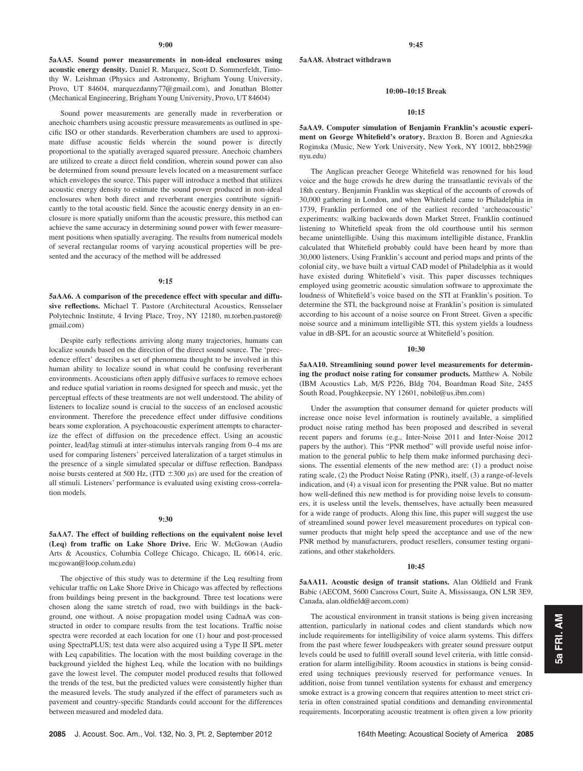5aAA5. Sound power measurements in non-ideal enclosures using acoustic energy density. Daniel R. Marquez, Scott D. Sommerfeldt, Timothy W. Leishman (Physics and Astronomy, Brigham Young University, Provo, UT 84604, marquezdanny77@gmail.com), and Jonathan Blotter (Mechanical Engineering, Brigham Young University, Provo, UT 84604)

Sound power measurements are generally made in reverberation or anechoic chambers using acoustic pressure measurements as outlined in specific ISO or other standards. Reverberation chambers are used to approximate diffuse acoustic fields wherein the sound power is directly proportional to the spatially averaged squared pressure. Anechoic chambers are utilized to create a direct field condition, wherein sound power can also be determined from sound pressure levels located on a measurement surface which envelopes the source. This paper will introduce a method that utilizes acoustic energy density to estimate the sound power produced in non-ideal enclosures when both direct and reverberant energies contribute significantly to the total acoustic field. Since the acoustic energy density in an enclosure is more spatially uniform than the acoustic pressure, this method can achieve the same accuracy in determining sound power with fewer measurement positions when spatially averaging. The results from numerical models of several rectangular rooms of varying acoustical properties will be presented and the accuracy of the method will be addressed

## 9:15

5aAA6. A comparison of the precedence effect with specular and diffusive reflections. Michael T. Pastore (Architectural Acoustics, Rensselaer Polytechnic Institute, 4 Irving Place, Troy, NY 12180, m.torben.pastore@ gmail.com)

Despite early reflections arriving along many trajectories, humans can localize sounds based on the direction of the direct sound source. The 'precedence effect' describes a set of phenomena thought to be involved in this human ability to localize sound in what could be confusing reverberant environments. Acousticians often apply diffusive surfaces to remove echoes and reduce spatial variation in rooms designed for speech and music, yet the perceptual effects of these treatments are not well understood. The ability of listeners to localize sound is crucial to the success of an enclosed acoustic environment. Therefore the precedence effect under diffusive conditions bears some exploration. A psychoacoustic experiment attempts to characterize the effect of diffusion on the precedence effect. Using an acoustic pointer, lead/lag stimuli at inter-stimulus intervals ranging from 0–4 ms are used for comparing listeners' perceived lateralization of a target stimulus in the presence of a single simulated specular or diffuse reflection. Bandpass noise bursts centered at 500 Hz, (ITD  $\pm 300 \mu s$ ) are used for the creation of all stimuli. Listeners' performance is evaluated using existing cross-correlation models.

## 9:30

5aAA7. The effect of building reflections on the equivalent noise level (Leq) from traffic on Lake Shore Drive. Eric W. McGowan (Audio Arts & Acoustics, Columbia College Chicago, Chicago, IL 60614, eric. mcgowan@loop.colum.edu)

The objective of this study was to determine if the Leq resulting from vehicular traffic on Lake Shore Drive in Chicago was affected by reflections from buildings being present in the background. Three test locations were chosen along the same stretch of road, two with buildings in the background, one without. A noise propagation model using CadnaA was constructed in order to compare results from the test locations. Traffic noise spectra were recorded at each location for one (1) hour and post-processed using SpectraPLUS; test data were also acquired using a Type II SPL meter with Leq capabilities. The location with the most building coverage in the background yielded the highest Leq, while the location with no buildings gave the lowest level. The computer model produced results that followed the trends of the test, but the predicted values were consistently higher than the measured levels. The study analyzed if the effect of parameters such as pavement and country-specific Standards could account for the differences between measured and modeled data.

5aAA8. Abstract withdrawn

#### 10:00–10:15 Break

## 10:15

5aAA9. Computer simulation of Benjamin Franklin's acoustic experiment on George Whitefield's oratory. Braxton B. Boren and Agnieszka Roginska (Music, New York University, New York, NY 10012, bbb259@ nyu.edu)

The Anglican preacher George Whitefield was renowned for his loud voice and the huge crowds he drew during the transatlantic revivals of the 18th century. Benjamin Franklin was skeptical of the accounts of crowds of 30,000 gathering in London, and when Whitefield came to Philadelphia in 1739, Franklin performed one of the earliest recorded 'archeoacoustic' experiments: walking backwards down Market Street, Franklin continued listening to Whitefield speak from the old courthouse until his sermon became unintelligible. Using this maximum intelligible distance, Franklin calculated that Whitefield probably could have been heard by more than 30,000 listeners. Using Franklin's account and period maps and prints of the colonial city, we have built a virtual CAD model of Philadelphia as it would have existed during Whitefield's visit. This paper discusses techniques employed using geometric acoustic simulation software to approximate the loudness of Whitefield's voice based on the STI at Franklin's position. To determine the STI, the background noise at Franklin's position is simulated according to his account of a noise source on Front Street. Given a specific noise source and a minimum intelligible STI, this system yields a loudness value in dB-SPL for an acoustic source at Whitefield's position.

#### 10:30

5aAA10. Streamlining sound power level measurements for determining the product noise rating for consumer products. Matthew A. Nobile (IBM Acoustics Lab, M/S P226, Bldg 704, Boardman Road Site, 2455 South Road, Poughkeepsie, NY 12601, nobile@us.ibm.com)

Under the assumption that consumer demand for quieter products will increase once noise level information is routinely available, a simplified product noise rating method has been proposed and described in several recent papers and forums (e.g., Inter-Noise 2011 and Inter-Noise 2012 papers by the author). This "PNR method" will provide useful noise information to the general public to help them make informed purchasing decisions. The essential elements of the new method are: (1) a product noise rating scale, (2) the Product Noise Rating (PNR), itself, (3) a range-of-levels indication, and (4) a visual icon for presenting the PNR value. But no matter how well-defined this new method is for providing noise levels to consumers, it is useless until the levels, themselves, have actually been measured for a wide range of products. Along this line, this paper will suggest the use of streamlined sound power level measurement procedures on typical consumer products that might help speed the acceptance and use of the new PNR method by manufacturers, product resellers, consumer testing organizations, and other stakeholders.

### 10:45

5aAA11. Acoustic design of transit stations. Alan Oldfield and Frank Babic (AECOM, 5600 Cancross Court, Suite A, Mississauga, ON L5R 3E9, Canada, alan.oldfield@aecom.com)

The acoustical environment in transit stations is being given increasing attention, particularly in national codes and client standards which now include requirements for intelligibility of voice alarm systems. This differs from the past where fewer loudspeakers with greater sound pressure output levels could be used to fulfill overall sound level criteria, with little consideration for alarm intelligibility. Room acoustics in stations is being considered using techniques previously reserved for performance venues. In addition, noise from tunnel ventilation systems for exhaust and emergency smoke extract is a growing concern that requires attention to meet strict criteria in often constrained spatial conditions and demanding environmental requirements. Incorporating acoustic treatment is often given a low priority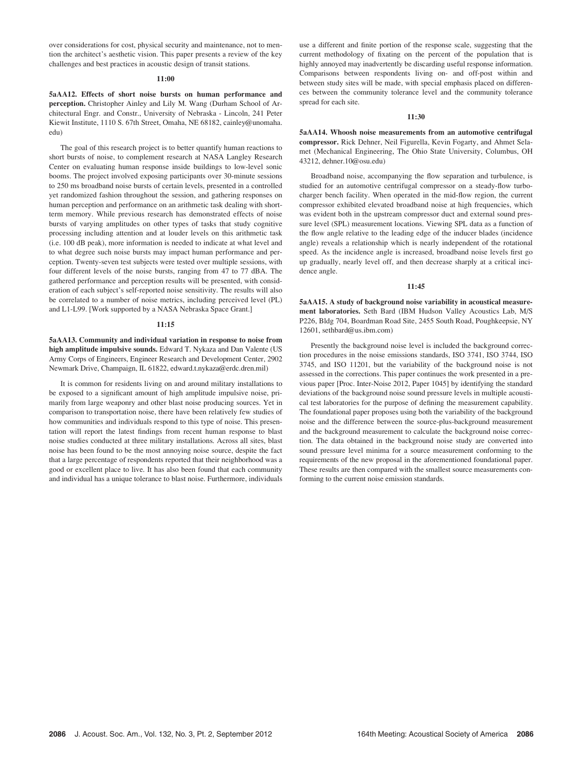over considerations for cost, physical security and maintenance, not to mention the architect's aesthetic vision. This paper presents a review of the key challenges and best practices in acoustic design of transit stations.

## 11:00

5aAA12. Effects of short noise bursts on human performance and perception. Christopher Ainley and Lily M. Wang (Durham School of Architectural Engr. and Constr., University of Nebraska - Lincoln, 241 Peter Kiewit Institute, 1110 S. 67th Street, Omaha, NE 68182, cainley@unomaha. edu)

The goal of this research project is to better quantify human reactions to short bursts of noise, to complement research at NASA Langley Research Center on evaluating human response inside buildings to low-level sonic booms. The project involved exposing participants over 30-minute sessions to 250 ms broadband noise bursts of certain levels, presented in a controlled yet randomized fashion throughout the session, and gathering responses on human perception and performance on an arithmetic task dealing with shortterm memory. While previous research has demonstrated effects of noise bursts of varying amplitudes on other types of tasks that study cognitive processing including attention and at louder levels on this arithmetic task (i.e. 100 dB peak), more information is needed to indicate at what level and to what degree such noise bursts may impact human performance and perception. Twenty-seven test subjects were tested over multiple sessions, with four different levels of the noise bursts, ranging from 47 to 77 dBA. The gathered performance and perception results will be presented, with consideration of each subject's self-reported noise sensitivity. The results will also be correlated to a number of noise metrics, including perceived level (PL) and L1-L99. [Work supported by a NASA Nebraska Space Grant.]

## 11:15

5aAA13. Community and individual variation in response to noise from high amplitude impulsive sounds. Edward T. Nykaza and Dan Valente (US Army Corps of Engineers, Engineer Research and Development Center, 2902 Newmark Drive, Champaign, IL 61822, edward.t.nykaza@erdc.dren.mil)

It is common for residents living on and around military installations to be exposed to a significant amount of high amplitude impulsive noise, primarily from large weaponry and other blast noise producing sources. Yet in comparison to transportation noise, there have been relatively few studies of how communities and individuals respond to this type of noise. This presentation will report the latest findings from recent human response to blast noise studies conducted at three military installations. Across all sites, blast noise has been found to be the most annoying noise source, despite the fact that a large percentage of respondents reported that their neighborhood was a good or excellent place to live. It has also been found that each community and individual has a unique tolerance to blast noise. Furthermore, individuals use a different and finite portion of the response scale, suggesting that the current methodology of fixating on the percent of the population that is highly annoyed may inadvertently be discarding useful response information. Comparisons between respondents living on- and off-post within and between study sites will be made, with special emphasis placed on differences between the community tolerance level and the community tolerance spread for each site.

#### 11:30

5aAA14. Whoosh noise measurements from an automotive centrifugal compressor. Rick Dehner, Neil Figurella, Kevin Fogarty, and Ahmet Selamet (Mechanical Engineering, The Ohio State University, Columbus, OH 43212, dehner.10@osu.edu)

Broadband noise, accompanying the flow separation and turbulence, is studied for an automotive centrifugal compressor on a steady-flow turbocharger bench facility. When operated in the mid-flow region, the current compressor exhibited elevated broadband noise at high frequencies, which was evident both in the upstream compressor duct and external sound pressure level (SPL) measurement locations. Viewing SPL data as a function of the flow angle relative to the leading edge of the inducer blades (incidence angle) reveals a relationship which is nearly independent of the rotational speed. As the incidence angle is increased, broadband noise levels first go up gradually, nearly level off, and then decrease sharply at a critical incidence angle.

### 11:45

5aAA15. A study of background noise variability in acoustical measurement laboratories. Seth Bard (IBM Hudson Valley Acoustics Lab, M/S P226, Bldg 704, Boardman Road Site, 2455 South Road, Poughkeepsie, NY 12601, sethbard@us.ibm.com)

Presently the background noise level is included the background correction procedures in the noise emissions standards, ISO 3741, ISO 3744, ISO 3745, and ISO 11201, but the variability of the background noise is not assessed in the corrections. This paper continues the work presented in a previous paper [Proc. Inter-Noise 2012, Paper 1045] by identifying the standard deviations of the background noise sound pressure levels in multiple acoustical test laboratories for the purpose of defining the measurement capability. The foundational paper proposes using both the variability of the background noise and the difference between the source-plus-background measurement and the background measurement to calculate the background noise correction. The data obtained in the background noise study are converted into sound pressure level minima for a source measurement conforming to the requirements of the new proposal in the aforementioned foundational paper. These results are then compared with the smallest source measurements conforming to the current noise emission standards.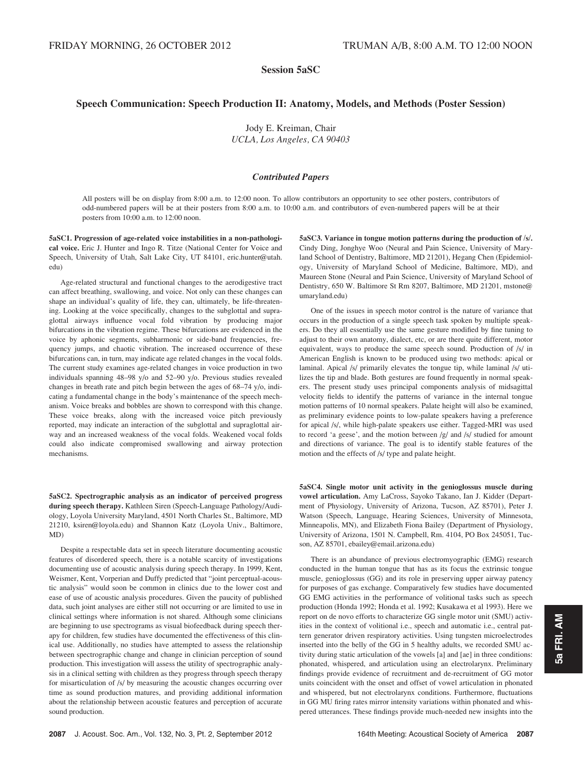# Session 5aSC

# Speech Communication: Speech Production II: Anatomy, Models, and Methods (Poster Session)

Jody E. Kreiman, Chair UCLA, Los Angeles, CA 90403

## Contributed Papers

All posters will be on display from 8:00 a.m. to 12:00 noon. To allow contributors an opportunity to see other posters, contributors of odd-numbered papers will be at their posters from 8:00 a.m. to 10:00 a.m. and contributors of even-numbered papers will be at their posters from 10:00 a.m. to 12:00 noon.

5aSC1. Progression of age-related voice instabilities in a non-pathological voice. Eric J. Hunter and Ingo R. Titze (National Center for Voice and Speech, University of Utah, Salt Lake City, UT 84101, eric.hunter@utah. edu)

Age-related structural and functional changes to the aerodigestive tract can affect breathing, swallowing, and voice. Not only can these changes can shape an individual's quality of life, they can, ultimately, be life-threatening. Looking at the voice specifically, changes to the subglottal and supraglottal airways influence vocal fold vibration by producing major bifurcations in the vibration regime. These bifurcations are evidenced in the voice by aphonic segments, subharmonic or side-band frequencies, frequency jumps, and chaotic vibration. The increased occurrence of these bifurcations can, in turn, may indicate age related changes in the vocal folds. The current study examines age-related changes in voice production in two individuals spanning 48–98 y/o and 52–90 y/o. Previous studies revealed changes in breath rate and pitch begin between the ages of 68–74 y/o, indicating a fundamental change in the body's maintenance of the speech mechanism. Voice breaks and bobbles are shown to correspond with this change. These voice breaks, along with the increased voice pitch previously reported, may indicate an interaction of the subglottal and supraglottal airway and an increased weakness of the vocal folds. Weakened vocal folds could also indicate compromised swallowing and airway protection mechanisms.

5aSC2. Spectrographic analysis as an indicator of perceived progress during speech therapy. Kathleen Siren (Speech-Language Pathology/Audiology, Loyola University Maryland, 4501 North Charles St., Baltimore, MD 21210, ksiren@loyola.edu) and Shannon Katz (Loyola Univ., Baltimore, MD)

Despite a respectable data set in speech literature documenting acoustic features of disordered speech, there is a notable scarcity of investigations documenting use of acoustic analysis during speech therapy. In 1999, Kent, Weismer, Kent, Vorperian and Duffy predicted that "joint perceptual-acoustic analysis" would soon be common in clinics due to the lower cost and ease of use of acoustic analysis procedures. Given the paucity of published data, such joint analyses are either still not occurring or are limited to use in clinical settings where information is not shared. Although some clinicians are beginning to use spectrograms as visual biofeedback during speech therapy for children, few studies have documented the effectiveness of this clinical use. Additionally, no studies have attempted to assess the relationship between spectrographic change and change in clinician perception of sound production. This investigation will assess the utility of spectrographic analysis in a clinical setting with children as they progress through speech therapy for misarticulation of /s/ by measuring the acoustic changes occurring over time as sound production matures, and providing additional information about the relationship between acoustic features and perception of accurate sound production.

5aSC3. Variance in tongue motion patterns during the production of /s/. Cindy Ding, Jonghye Woo (Neural and Pain Science, University of Maryland School of Dentistry, Baltimore, MD 21201), Hegang Chen (Epidemiology, University of Maryland School of Medicine, Baltimore, MD), and Maureen Stone (Neural and Pain Science, University of Maryland School of Dentistry, 650 W. Baltimore St Rm 8207, Baltimore, MD 21201, mstone@ umaryland.edu)

One of the issues in speech motor control is the nature of variance that occurs in the production of a single speech task spoken by multiple speakers. Do they all essentially use the same gesture modified by fine tuning to adjust to their own anatomy, dialect, etc, or are there quite different, motor equivalent, ways to produce the same speech sound. Production of /s/ in American English is known to be produced using two methods: apical or laminal. Apical /s/ primarily elevates the tongue tip, while laminal /s/ utilizes the tip and blade. Both gestures are found frequently in normal speakers. The present study uses principal components analysis of midsagittal velocity fields to identify the patterns of variance in the internal tongue motion patterns of 10 normal speakers. Palate height will also be examined, as preliminary evidence points to low-palate speakers having a preference for apical /s/, while high-palate speakers use either. Tagged-MRI was used to record 'a geese', and the motion between /g/ and /s/ studied for amount and directions of variance. The goal is to identify stable features of the motion and the effects of /s/ type and palate height.

5aSC4. Single motor unit activity in the genioglossus muscle during vowel articulation. Amy LaCross, Sayoko Takano, Ian J. Kidder (Department of Physiology, University of Arizona, Tucson, AZ 85701), Peter J. Watson (Speech, Language, Hearing Sciences, University of Minnesota, Minneapolis, MN), and Elizabeth Fiona Bailey (Department of Physiology, University of Arizona, 1501 N. Campbell, Rm. 4104, PO Box 245051, Tucson, AZ 85701, ebailey@email.arizona.edu)

There is an abundance of previous electromyographic (EMG) research conducted in the human tongue that has as its focus the extrinsic tongue muscle, genioglossus (GG) and its role in preserving upper airway patency for purposes of gas exchange. Comparatively few studies have documented GG EMG activities in the performance of volitional tasks such as speech production (Honda 1992; Honda et al. 1992; Kusakawa et al 1993). Here we report on de novo efforts to characterize GG single motor unit (SMU) activities in the context of volitional i.e., speech and automatic i.e., central pattern generator driven respiratory activities. Using tungsten microelectrodes inserted into the belly of the GG in 5 healthy adults, we recorded SMU activity during static articulation of the vowels [a] and [ae] in three conditions: phonated, whispered, and articulation using an electrolarynx. Preliminary findings provide evidence of recruitment and de-recruitment of GG motor units coincident with the onset and offset of vowel articulation in phonated and whispered, but not electrolarynx conditions. Furthermore, fluctuations in GG MU firing rates mirror intensity variations within phonated and whispered utterances. These findings provide much-needed new insights into the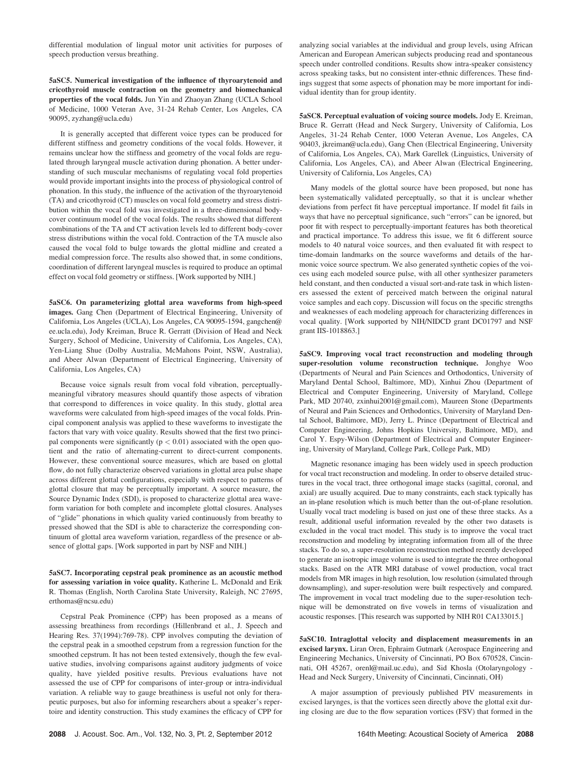differential modulation of lingual motor unit activities for purposes of speech production versus breathing.

5aSC5. Numerical investigation of the influence of thyroarytenoid and cricothyroid muscle contraction on the geometry and biomechanical properties of the vocal folds. Jun Yin and Zhaoyan Zhang (UCLA School of Medicine, 1000 Veteran Ave, 31-24 Rehab Center, Los Angeles, CA 90095, zyzhang@ucla.edu)

It is generally accepted that different voice types can be produced for different stiffness and geometry conditions of the vocal folds. However, it remains unclear how the stiffness and geometry of the vocal folds are regulated through laryngeal muscle activation during phonation. A better understanding of such muscular mechanisms of regulating vocal fold properties would provide important insights into the process of physiological control of phonation. In this study, the influence of the activation of the thyroarytenoid (TA) and cricothyroid (CT) muscles on vocal fold geometry and stress distribution within the vocal fold was investigated in a three-dimensional bodycover continuum model of the vocal folds. The results showed that different combinations of the TA and CT activation levels led to different body-cover stress distributions within the vocal fold. Contraction of the TA muscle also caused the vocal fold to bulge towards the glottal midline and created a medial compression force. The results also showed that, in some conditions, coordination of different laryngeal muscles is required to produce an optimal effect on vocal fold geometry or stiffness. [Work supported by NIH.]

5aSC6. On parameterizing glottal area waveforms from high-speed images. Gang Chen (Department of Electrical Engineering, University of California, Los Angeles (UCLA), Los Angeles, CA 90095-1594, gangchen@ ee.ucla.edu), Jody Kreiman, Bruce R. Gerratt (Division of Head and Neck Surgery, School of Medicine, University of California, Los Angeles, CA), Yen-Liang Shue (Dolby Australia, McMahons Point, NSW, Australia), and Abeer Alwan (Department of Electrical Engineering, University of California, Los Angeles, CA)

Because voice signals result from vocal fold vibration, perceptuallymeaningful vibratory measures should quantify those aspects of vibration that correspond to differences in voice quality. In this study, glottal area waveforms were calculated from high-speed images of the vocal folds. Principal component analysis was applied to these waveforms to investigate the factors that vary with voice quality. Results showed that the first two principal components were significantly ( $p < 0.01$ ) associated with the open quotient and the ratio of alternating-current to direct-current components. However, these conventional source measures, which are based on glottal flow, do not fully characterize observed variations in glottal area pulse shape across different glottal configurations, especially with respect to patterns of glottal closure that may be perceptually important. A source measure, the Source Dynamic Index (SDI), is proposed to characterize glottal area waveform variation for both complete and incomplete glottal closures. Analyses of "glide" phonations in which quality varied continuously from breathy to pressed showed that the SDI is able to characterize the corresponding continuum of glottal area waveform variation, regardless of the presence or absence of glottal gaps. [Work supported in part by NSF and NIH.]

5aSC7. Incorporating cepstral peak prominence as an acoustic method for assessing variation in voice quality. Katherine L. McDonald and Erik R. Thomas (English, North Carolina State University, Raleigh, NC 27695, erthomas@ncsu.edu)

Cepstral Peak Prominence (CPP) has been proposed as a means of assessing breathiness from recordings (Hillenbrand et al., J. Speech and Hearing Res. 37(1994):769-78). CPP involves computing the deviation of the cepstral peak in a smoothed cepstrum from a regression function for the smoothed cepstrum. It has not been tested extensively, though the few evaluative studies, involving comparisons against auditory judgments of voice quality, have yielded positive results. Previous evaluations have not assessed the use of CPP for comparisons of inter-group or intra-individual variation. A reliable way to gauge breathiness is useful not only for therapeutic purposes, but also for informing researchers about a speaker's repertoire and identity construction. This study examines the efficacy of CPP for analyzing social variables at the individual and group levels, using African American and European American subjects producing read and spontaneous speech under controlled conditions. Results show intra-speaker consistency across speaking tasks, but no consistent inter-ethnic differences. These findings suggest that some aspects of phonation may be more important for individual identity than for group identity.

5aSC8. Perceptual evaluation of voicing source models. Jody E. Kreiman, Bruce R. Gerratt (Head and Neck Surgery, University of California, Los Angeles, 31-24 Rehab Center, 1000 Veteran Avenue, Los Angeles, CA 90403, jkreiman@ucla.edu), Gang Chen (Electrical Engineering, University of California, Los Angeles, CA), Mark Garellek (Linguistics, University of California, Los Angeles, CA), and Abeer Alwan (Electrical Engineering, University of California, Los Angeles, CA)

Many models of the glottal source have been proposed, but none has been systematically validated perceptually, so that it is unclear whether deviations from perfect fit have perceptual importance. If model fit fails in ways that have no perceptual significance, such "errors" can be ignored, but poor fit with respect to perceptually-important features has both theoretical and practical importance. To address this issue, we fit 6 different source models to 40 natural voice sources, and then evaluated fit with respect to time-domain landmarks on the source waveforms and details of the harmonic voice source spectrum. We also generated synthetic copies of the voices using each modeled source pulse, with all other synthesizer parameters held constant, and then conducted a visual sort-and-rate task in which listeners assessed the extent of perceived match between the original natural voice samples and each copy. Discussion will focus on the specific strengths and weaknesses of each modeling approach for characterizing differences in vocal quality. [Work supported by NIH/NIDCD grant DC01797 and NSF grant IIS-1018863.]

5aSC9. Improving vocal tract reconstruction and modeling through super-resolution volume reconstruction technique. Jonghye Woo (Departments of Neural and Pain Sciences and Orthodontics, University of Maryland Dental School, Baltimore, MD), Xinhui Zhou (Department of Electrical and Computer Engineering, University of Maryland, College Park, MD 20740, zxinhui2001@gmail.com), Maureen Stone (Departments of Neural and Pain Sciences and Orthodontics, University of Maryland Dental School, Baltimore, MD), Jerry L. Prince (Department of Electrical and Computer Engineering, Johns Hopkins University, Baltimore, MD), and Carol Y. Espy-Wilson (Department of Electrical and Computer Engineering, University of Maryland, College Park, College Park, MD)

Magnetic resonance imaging has been widely used in speech production for vocal tract reconstruction and modeling. In order to observe detailed structures in the vocal tract, three orthogonal image stacks (sagittal, coronal, and axial) are usually acquired. Due to many constraints, each stack typically has an in-plane resolution which is much better than the out-of-plane resolution. Usually vocal tract modeling is based on just one of these three stacks. As a result, additional useful information revealed by the other two datasets is excluded in the vocal tract model. This study is to improve the vocal tract reconstruction and modeling by integrating information from all of the three stacks. To do so, a super-resolution reconstruction method recently developed to generate an isotropic image volume is used to integrate the three orthogonal stacks. Based on the ATR MRI database of vowel production, vocal tract models from MR images in high resolution, low resolution (simulated through downsampling), and super-resolution were built respectively and compared. The improvement in vocal tract modeling due to the super-resolution technique will be demonstrated on five vowels in terms of visualization and acoustic responses. [This research was supported by NIH R01 CA133015.]

5aSC10. Intraglottal velocity and displacement measurements in an excised larynx. Liran Oren, Ephraim Gutmark (Aerospace Engineering and Engineering Mechanics, University of Cincinnati, PO Box 670528, Cincinnati, OH 45267, orenl@mail.uc.edu), and Sid Khosla (Otolaryngology - Head and Neck Surgery, University of Cincinnati, Cincinnati, OH)

A major assumption of previously published PIV measurements in excised larynges, is that the vortices seen directly above the glottal exit during closing are due to the flow separation vortices (FSV) that formed in the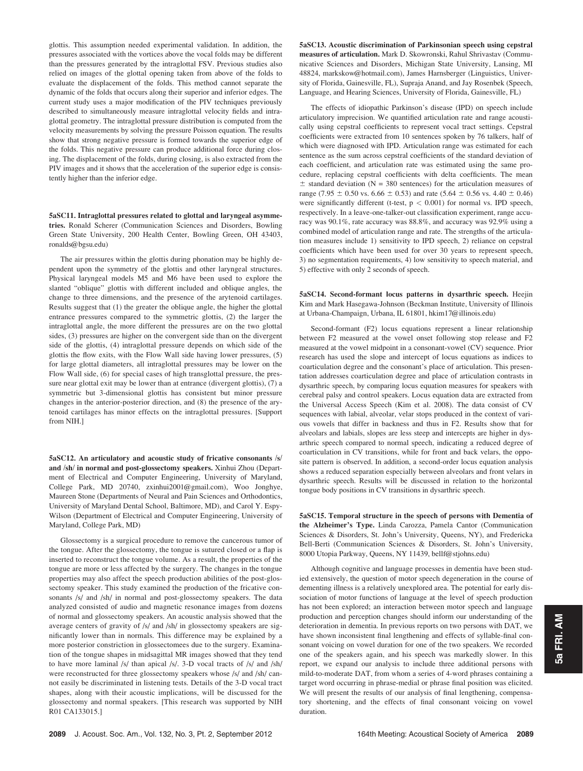glottis. This assumption needed experimental validation. In addition, the pressures associated with the vortices above the vocal folds may be different than the pressures generated by the intraglottal FSV. Previous studies also relied on images of the glottal opening taken from above of the folds to evaluate the displacement of the folds. This method cannot separate the dynamic of the folds that occurs along their superior and inferior edges. The current study uses a major modification of the PIV techniques previously described to simultaneously measure intraglottal velocity fields and intraglottal geometry. The intraglottal pressure distribution is computed from the velocity measurements by solving the pressure Poisson equation. The results show that strong negative pressure is formed towards the superior edge of the folds. This negative pressure can produce additional force during closing. The displacement of the folds, during closing, is also extracted from the PIV images and it shows that the acceleration of the superior edge is consistently higher than the inferior edge.

5aSC11. Intraglottal pressures related to glottal and laryngeal asymmetries. Ronald Scherer (Communication Sciences and Disorders, Bowling Green State University, 200 Health Center, Bowling Green, OH 43403, ronalds@bgsu.edu)

The air pressures within the glottis during phonation may be highly dependent upon the symmetry of the glottis and other laryngeal structures. Physical laryngeal models M5 and M6 have been used to explore the slanted "oblique" glottis with different included and oblique angles, the change to three dimensions, and the presence of the arytenoid cartilages. Results suggest that (1) the greater the oblique angle, the higher the glottal entrance pressures compared to the symmetric glottis, (2) the larger the intraglottal angle, the more different the pressures are on the two glottal sides, (3) pressures are higher on the convergent side than on the divergent side of the glottis, (4) intraglottal pressure depends on which side of the glottis the flow exits, with the Flow Wall side having lower pressures, (5) for large glottal diameters, all intraglottal pressures may be lower on the Flow Wall side, (6) for special cases of high transglottal pressure, the pressure near glottal exit may be lower than at entrance (divergent glottis), (7) a symmetric but 3-dimensional glottis has consistent but minor pressure changes in the anterior-posterior direction, and (8) the presence of the arytenoid cartilages has minor effects on the intraglottal pressures. [Support from NIH.]

5aSC12. An articulatory and acoustic study of fricative consonants /s/ and /sh/ in normal and post-glossectomy speakers. Xinhui Zhou (Department of Electrical and Computer Engineering, University of Maryland, College Park, MD 20740, zxinhui2001@gmail.com), Woo Jonghye, Maureen Stone (Departments of Neural and Pain Sciences and Orthodontics, University of Maryland Dental School, Baltimore, MD), and Carol Y. Espy-Wilson (Department of Electrical and Computer Engineering, University of Maryland, College Park, MD)

Glossectomy is a surgical procedure to remove the cancerous tumor of the tongue. After the glossectomy, the tongue is sutured closed or a flap is inserted to reconstruct the tongue volume. As a result, the properties of the tongue are more or less affected by the surgery. The changes in the tongue properties may also affect the speech production abilities of the post-glossectomy speaker. This study examined the production of the fricative consonants /s/ and /sh/ in normal and post-glossectomy speakers. The data analyzed consisted of audio and magnetic resonance images from dozens of normal and glossectomy speakers. An acoustic analysis showed that the average centers of gravity of /s/ and /sh/ in glossectomy speakers are significantly lower than in normals. This difference may be explained by a more posterior constriction in glossectomees due to the surgery. Examination of the tongue shapes in midsagittal MR images showed that they tend to have more laminal /s/ than apical /s/. 3-D vocal tracts of /s/ and /sh/ were reconstructed for three glossectomy speakers whose /s/ and /sh/ cannot easily be discriminated in listening tests. Details of the 3-D vocal tract shapes, along with their acoustic implications, will be discussed for the glossectomy and normal speakers. [This research was supported by NIH R01 CA133015.]

5aSC13. Acoustic discrimination of Parkinsonian speech using cepstral measures of articulation. Mark D. Skowronski, Rahul Shrivastav (Communicative Sciences and Disorders, Michigan State University, Lansing, MI 48824, markskow@hotmail.com), James Harnsberger (Linguistics, University of Florida, Gainesville, FL), Supraja Anand, and Jay Rosenbek (Speech, Language, and Hearing Sciences, University of Florida, Gainesville, FL)

The effects of idiopathic Parkinson's disease (IPD) on speech include articulatory imprecision. We quantified articulation rate and range acoustically using cepstral coefficients to represent vocal tract settings. Cepstral coefficients were extracted from 10 sentences spoken by 76 talkers, half of which were diagnosed with IPD. Articulation range was estimated for each sentence as the sum across cepstral coefficients of the standard deviation of each coefficient, and articulation rate was estimated using the same procedure, replacing cepstral coefficients with delta coefficients. The mean  $\pm$  standard deviation (N = 380 sentences) for the articulation measures of range (7.95  $\pm$  0.50 vs. 6.66  $\pm$  0.53) and rate (5.64  $\pm$  0.56 vs. 4.40  $\pm$  0.46) were significantly different (t-test,  $p < 0.001$ ) for normal vs. IPD speech, respectively. In a leave-one-talker-out classification experiment, range accuracy was 90.1%, rate accuracy was 88.8%, and accuracy was 92.9% using a combined model of articulation range and rate. The strengths of the articulation measures include 1) sensitivity to IPD speech, 2) reliance on cepstral coefficients which have been used for over 30 years to represent speech, 3) no segmentation requirements, 4) low sensitivity to speech material, and 5) effective with only 2 seconds of speech.

5aSC14. Second-formant locus patterns in dysarthric speech. Heejin Kim and Mark Hasegawa-Johnson (Beckman Institute, University of Illinois at Urbana-Champaign, Urbana, IL 61801, hkim17@illinois.edu)

Second-formant (F2) locus equations represent a linear relationship between F2 measured at the vowel onset following stop release and F2 measured at the vowel midpoint in a consonant-vowel (CV) sequence. Prior research has used the slope and intercept of locus equations as indices to coarticulation degree and the consonant's place of articulation. This presentation addresses coarticulation degree and place of articulation contrasts in dysarthric speech, by comparing locus equation measures for speakers with cerebral palsy and control speakers. Locus equation data are extracted from the Universal Access Speech (Kim et al. 2008). The data consist of CV sequences with labial, alveolar, velar stops produced in the context of various vowels that differ in backness and thus in F2. Results show that for alveolars and labials, slopes are less steep and intercepts are higher in dysarthric speech compared to normal speech, indicating a reduced degree of coarticulation in CV transitions, while for front and back velars, the opposite pattern is observed. In addition, a second-order locus equation analysis shows a reduced separation especially between alveolars and front velars in dysarthric speech. Results will be discussed in relation to the horizontal tongue body positions in CV transitions in dysarthric speech.

5aSC15. Temporal structure in the speech of persons with Dementia of the Alzheimer's Type. Linda Carozza, Pamela Cantor (Communication Sciences & Disorders, St. John's University, Queens, NY), and Fredericka Bell-Berti (Communication Sciences & Disorders, St. John's University, 8000 Utopia Parkway, Queens, NY 11439, bellf@stjohns.edu)

Although cognitive and language processes in dementia have been studied extensively, the question of motor speech degeneration in the course of dementing illness is a relatively unexplored area. The potential for early dissociation of motor functions of language at the level of speech production has not been explored; an interaction between motor speech and language production and perception changes should inform our understanding of the deterioration in dementia. In previous reports on two persons with DAT, we have shown inconsistent final lengthening and effects of syllable-final consonant voicing on vowel duration for one of the two speakers. We recorded one of the speakers again, and his speech was markedly slower. In this report, we expand our analysis to include three additional persons with mild-to-moderate DAT, from whom a series of 4-word phrases containing a target word occurring in phrase-medial or phrase final position was elicited. We will present the results of our analysis of final lengthening, compensatory shortening, and the effects of final consonant voicing on vowel duration.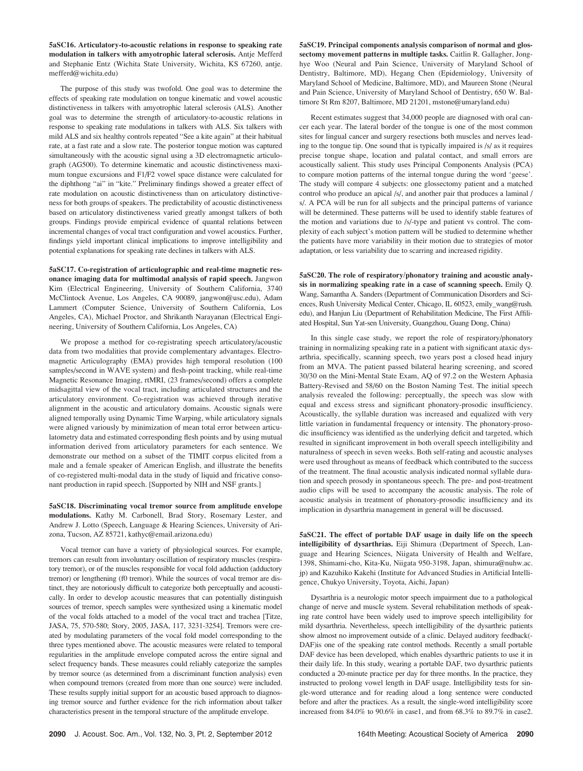5aSC16. Articulatory-to-acoustic relations in response to speaking rate modulation in talkers with amyotrophic lateral sclerosis. Antje Mefferd and Stephanie Entz (Wichita State University, Wichita, KS 67260, antje. mefferd@wichita.edu)

The purpose of this study was twofold. One goal was to determine the effects of speaking rate modulation on tongue kinematic and vowel acoustic distinctiveness in talkers with amyotrophic lateral sclerosis (ALS). Another goal was to determine the strength of articulatory-to-acoustic relations in response to speaking rate modulations in talkers with ALS. Six talkers with mild ALS and six healthy controls repeated "See a kite again" at their habitual rate, at a fast rate and a slow rate. The posterior tongue motion was captured simultaneously with the acoustic signal using a 3D electromagnetic articulograph (AG500). To determine kinematic and acoustic distinctiveness maximum tongue excursions and F1/F2 vowel space distance were calculated for the diphthong "ai" in "kite." Preliminary findings showed a greater effect of rate modulation on acoustic distinctiveness than on articulatory distinctiveness for both groups of speakers. The predictability of acoustic distinctiveness based on articulatory distinctiveness varied greatly amongst talkers of both groups. Findings provide empirical evidence of quantal relations between incremental changes of vocal tract configuration and vowel acoustics. Further, findings yield important clinical implications to improve intelligibility and potential explanations for speaking rate declines in talkers with ALS.

5aSC17. Co-registration of articulographic and real-time magnetic resonance imaging data for multimodal analysis of rapid speech. Jangwon Kim (Electrical Engineering, University of Southern California, 3740 McClintock Avenue, Los Angeles, CA 90089, jangwon@usc.edu), Adam Lammert (Computer Science, University of Southern California, Los Angeles, CA), Michael Proctor, and Shrikanth Narayanan (Electrical Engineering, University of Southern California, Los Angeles, CA)

We propose a method for co-registrating speech articulatory/acoustic data from two modalities that provide complementary advantages. Electromagnetic Articulography (EMA) provides high temporal resolution (100 samples/second in WAVE system) and flesh-point tracking, while real-time Magnetic Resonance Imaging, rtMRI, (23 frames/second) offers a complete midsagittal view of the vocal tract, including articulated structures and the articulatory environment. Co-registration was achieved through iterative alignment in the acoustic and articulatory domains. Acoustic signals were aligned temporally using Dynamic Time Warping, while articulatory signals were aligned variously by minimization of mean total error between articulatometry data and estimated corresponding flesh points and by using mutual information derived from articulatory parameters for each sentence. We demonstrate our method on a subset of the TIMIT corpus elicited from a male and a female speaker of American English, and illustrate the benefits of co-registered multi-modal data in the study of liquid and fricative consonant production in rapid speech. [Supported by NIH and NSF grants.]

5aSC18. Discriminating vocal tremor source from amplitude envelope modulations. Kathy M. Carbonell, Brad Story, Rosemary Lester, and Andrew J. Lotto (Speech, Language & Hearing Sciences, University of Arizona, Tucson, AZ 85721, kathyc@email.arizona.edu)

Vocal tremor can have a variety of physiological sources. For example, tremors can result from involuntary oscillation of respiratory muscles (respiratory tremor), or of the muscles responsible for vocal fold adduction (adductory tremor) or lengthening (f0 tremor). While the sources of vocal tremor are distinct, they are notoriously difficult to categorize both perceptually and acoustically. In order to develop acoustic measures that can potentially distinguish sources of tremor, speech samples were synthesized using a kinematic model of the vocal folds attached to a model of the vocal tract and trachea [Titze, JASA, 75, 570-580; Story, 2005, JASA, 117, 3231-3254]. Tremors were created by modulating parameters of the vocal fold model corresponding to the three types mentioned above. The acoustic measures were related to temporal regularities in the amplitude envelope computed across the entire signal and select frequency bands. These measures could reliably categorize the samples by tremor source (as determined from a discriminant function analysis) even when compound tremors (created from more than one source) were included. These results supply initial support for an acoustic based approach to diagnosing tremor source and further evidence for the rich information about talker characteristics present in the temporal structure of the amplitude envelope.

5aSC19. Principal components analysis comparison of normal and glossectomy movement patterns in multiple tasks. Caitlin R. Gallagher, Jonghye Woo (Neural and Pain Science, University of Maryland School of Dentistry, Baltimore, MD), Hegang Chen (Epidemiology, University of Maryland School of Medicine, Baltimore, MD), and Maureen Stone (Neural and Pain Science, University of Maryland School of Dentistry, 650 W. Baltimore St Rm 8207, Baltimore, MD 21201, mstone@umaryland.edu)

Recent estimates suggest that 34,000 people are diagnosed with oral cancer each year. The lateral border of the tongue is one of the most common sites for lingual cancer and surgery resections both muscles and nerves leading to the tongue tip. One sound that is typically impaired is /s/ as it requires precise tongue shape, location and palatal contact, and small errors are acoustically salient. This study uses Principal Components Analysis (PCA) to compare motion patterns of the internal tongue during the word 'geese'. The study will compare 4 subjects: one glossectomy patient and a matched control who produce an apical /s/, and another pair that produces a laminal / s/. A PCA will be run for all subjects and the principal patterns of variance will be determined. These patterns will be used to identify stable features of the motion and variations due to /s/-type and patient vs control. The complexity of each subject's motion pattern will be studied to determine whether the patients have more variability in their motion due to strategies of motor adaptation, or less variability due to scarring and increased rigidity.

5aSC20. The role of respiratory/phonatory training and acoustic analysis in normalizing speaking rate in a case of scanning speech. Emily Q. Wang, Samantha A. Sanders (Department of Communication Disorders and Sciences, Rush University Medical Center, Chicago, IL 60523, emily\_wang@rush. edu), and Hanjun Liu (Department of Rehabilitation Medicine, The First Affiliated Hospital, Sun Yat-sen University, Guangzhou, Guang Dong, China)

In this single case study, we report the role of respiratory/phonatory training in normalizing speaking rate in a patient with significant ataxic dysarthria, specifically, scanning speech, two years post a closed head injury from an MVA. The patient passed bilateral hearing screening, and scored 30/30 on the Mini-Mental State Exam, AQ of 97.2 on the Western Aphasia Battery-Revised and 58/60 on the Boston Naming Test. The initial speech analysis revealed the following: perceptually, the speech was slow with equal and excess stress and significant phonatory-prosodic insufficiency. Acoustically, the syllable duration was increased and equalized with very little variation in fundamental frequency or intensity. The phonatory-prosodic insufficiency was identified as the underlying deficit and targeted, which resulted in significant improvement in both overall speech intelligibility and naturalness of speech in seven weeks. Both self-rating and acoustic analyses were used throughout as means of feedback which contributed to the success of the treatment. The final acoustic analysis indicated normal syllable duration and speech prosody in spontaneous speech. The pre- and post-treatment audio clips will be used to accompany the acoustic analysis. The role of acoustic analysis in treatment of phonatory-prosodic insufficiency and its implication in dysarthria management in general will be discussed.

5aSC21. The effect of portable DAF usage in daily life on the speech intelligibility of dysarthrias. Eiji Shimura (Department of Speech, Language and Hearing Sciences, Niigata University of Health and Welfare, 1398, Shimami-cho, Kita-Ku, Niigata 950-3198, Japan, shimura@nuhw.ac. jp) and Kazuhiko Kakehi (Institute for Advanced Studies in Artificial Intelligence, Chukyo University, Toyota, Aichi, Japan)

Dysarthria is a neurologic motor speech impairment due to a pathological change of nerve and muscle system. Several rehabilitation methods of speaking rate control have been widely used to improve speech intelligibility for mild dysarthria. Nevertheless, speech intelligibility of the dysarthric patients show almost no improvement outside of a clinic. Delayed auditory feedback(- DAF)is one of the speaking rate control methods. Recently a small portable DAF device has been developed, which enables dysarthric patients to use it in their daily life. In this study, wearing a portable DAF, two dysarthric patients conducted a 20-minute practice per day for three months. In the practice, they instructed to prolong vowel length in DAF usage. Intelligibility tests for single-word utterance and for reading aloud a long sentence were conducted before and after the practices. As a result, the single-word intelligibility score increased from 84.0% to 90.6% in case1, and from 68.3% to 89.7% in case2.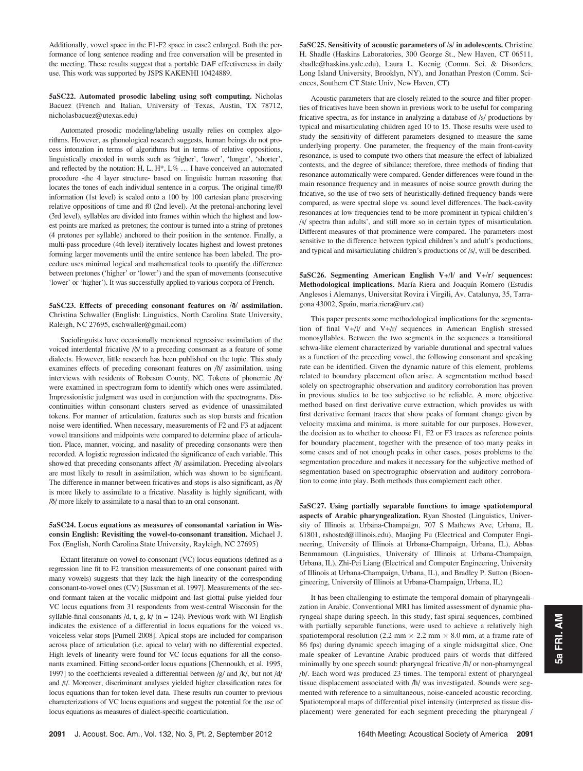Additionally, vowel space in the F1-F2 space in case2 enlarged. Both the performance of long sentence reading and free conversation will be presented in the meeting. These results suggest that a portable DAF effectiveness in daily use. This work was supported by JSPS KAKENHI 10424889.

5aSC22. Automated prosodic labeling using soft computing. Nicholas Bacuez (French and Italian, University of Texas, Austin, TX 78712, nicholasbacuez@utexas.edu)

Automated prosodic modeling/labeling usually relies on complex algorithms. However, as phonological research suggests, human beings do not process intonation in terms of algorithms but in terms of relative oppositions, linguistically encoded in words such as 'higher', 'lower', 'longer', 'shorter', and reflected by the notation: H, L,  $H^*$ ,  $L\%$  ... I have conceived an automated procedure -the 4 layer structure- based on linguistic human reasoning that locates the tones of each individual sentence in a corpus. The original time/f0 information (1st level) is scaled onto a 100 by 100 cartesian plane preserving relative oppositions of time and f0 (2nd level). At the pretonal-anchoring level (3rd level), syllables are divided into frames within which the highest and lowest points are marked as pretones; the contour is turned into a string of pretones (4 pretones per syllable) anchored to their position in the sentence. Finally, a multi-pass procedure (4th level) iteratively locates highest and lowest pretones forming larger movements until the entire sentence has been labeled. The procedure uses minimal logical and mathematical tools to quantify the difference between pretones ('higher' or 'lower') and the span of movements (consecutive 'lower' or 'higher'). It was successfully applied to various corpora of French.

## 5aSC23. Effects of preceding consonant features on /ð/ assimilation. Christina Schwaller (English: Linguistics, North Carolina State University, Raleigh, NC 27695, cschwaller@gmail.com)

Sociolinguists have occasionally mentioned regressive assimilation of the voiced interdental fricative /ð/ to a preceding consonant as a feature of some dialects. However, little research has been published on the topic. This study examines effects of preceding consonant features on /ð/ assimilation, using interviews with residents of Robeson County, NC. Tokens of phonemic /ð/ were examined in spectrogram form to identify which ones were assimilated. Impressionistic judgment was used in conjunction with the spectrograms. Discontinuities within consonant clusters served as evidence of unassimilated tokens. For manner of articulation, features such as stop bursts and frication noise were identified. When necessary, measurements of F2 and F3 at adjacent vowel transitions and midpoints were compared to determine place of articulation. Place, manner, voicing, and nasality of preceding consonants were then recorded. A logistic regression indicated the significance of each variable. This showed that preceding consonants affect /ð/ assimilation. Preceding alveolars are most likely to result in assimilation, which was shown to be significant. The difference in manner between fricatives and stops is also significant, as /ð/ is more likely to assimilate to a fricative. Nasality is highly significant, with /ð/ more likely to assimilate to a nasal than to an oral consonant.

## 5aSC24. Locus equations as measures of consonantal variation in Wisconsin English: Revisiting the vowel-to-consonant transition. Michael J. Fox (English, North Carolina State University, Rayleigh, NC 27695)

Extant literature on vowel-to-consonant (VC) locus equations (defined as a regression line fit to F2 transition measurements of one consonant paired with many vowels) suggests that they lack the high linearity of the corresponding consonant-to-vowel ones (CV) [Sussman et al. 1997]. Measurements of the second formant taken at the vocalic midpoint and last glottal pulse yielded four VC locus equations from 31 respondents from west-central Wisconsin for the syllable-final consonants /d, t, g,  $k/$  (n = 124). Previous work with WI English indicates the existence of a differential in locus equations for the voiced vs. voiceless velar stops [Purnell 2008]. Apical stops are included for comparison across place of articulation (i.e. apical to velar) with no differential expected. High levels of linearity were found for VC locus equations for all the consonants examined. Fitting second-order locus equations [Chennoukh, et al. 1995, 1997] to the coefficients revealed a differential between /g/ and /k/, but not /d/ and /t/. Moreover, discriminant analyses yielded higher classification rates for locus equations than for token level data. These results run counter to previous characterizations of VC locus equations and suggest the potential for the use of locus equations as measures of dialect-specific coarticulation.

5aSC25. Sensitivity of acoustic parameters of /s/ in adolescents. Christine H. Shadle (Haskins Laboratories, 300 George St., New Haven, CT 06511, shadle@haskins.yale.edu), Laura L. Koenig (Comm. Sci. & Disorders, Long Island University, Brooklyn, NY), and Jonathan Preston (Comm. Sciences, Southern CT State Univ, New Haven, CT)

Acoustic parameters that are closely related to the source and filter properties of fricatives have been shown in previous work to be useful for comparing fricative spectra, as for instance in analyzing a database of /s/ productions by typical and misarticulating children aged 10 to 15. Those results were used to study the sensitivity of different parameters designed to measure the same underlying property. One parameter, the frequency of the main front-cavity resonance, is used to compute two others that measure the effect of labialized contexts, and the degree of sibilance; therefore, three methods of finding that resonance automatically were compared. Gender differences were found in the main resonance frequency and in measures of noise source growth during the fricative, so the use of two sets of heuristically-defined frequency bands were compared, as were spectral slope vs. sound level differences. The back-cavity resonances at low frequencies tend to be more prominent in typical children's /s/ spectra than adults', and still more so in certain types of misarticulation. Different measures of that prominence were compared. The parameters most sensitive to the difference between typical children's and adult's productions, and typical and misarticulating children's productions of /s/, will be described.

5aSC26. Segmenting American English V+/l/ and V+/r/ sequences: Methodological implications. María Riera and Joaquín Romero (Estudis Anglesos i Alemanys, Universitat Rovira i Virgili, Av. Catalunya, 35, Tarragona 43002, Spain, maria.riera@urv.cat)

This paper presents some methodological implications for the segmentation of final V+/l/ and V+/r/ sequences in American English stressed monosyllables. Between the two segments in the sequences a transitional schwa-like element characterized by variable durational and spectral values as a function of the preceding vowel, the following consonant and speaking rate can be identified. Given the dynamic nature of this element, problems related to boundary placement often arise. A segmentation method based solely on spectrographic observation and auditory corroboration has proven in previous studies to be too subjective to be reliable. A more objective method based on first derivative curve extraction, which provides us with first derivative formant traces that show peaks of formant change given by velocity maxima and minima, is more suitable for our purposes. However, the decision as to whether to choose F1, F2 or F3 traces as reference points for boundary placement, together with the presence of too many peaks in some cases and of not enough peaks in other cases, poses problems to the segmentation procedure and makes it necessary for the subjective method of segmentation based on spectrographic observation and auditory corroboration to come into play. Both methods thus complement each other.

5aSC27. Using partially separable functions to image spatiotemporal aspects of Arabic pharyngealization. Ryan Shosted (Linguistics, University of Illinois at Urbana-Champaign, 707 S Mathews Ave, Urbana, IL 61801, rshosted@illinois.edu), Maojing Fu (Electrical and Computer Engineering, University of Illinois at Urbana-Champaign, Urbana, IL), Abbas Benmamoun (Linguistics, University of Illinois at Urbana-Champaign, Urbana, IL), Zhi-Pei Liang (Electrical and Computer Engineering, University of Illinois at Urbana-Champaign, Urbana, IL), and Bradley P. Sutton (Bioengineering, University of Illinois at Urbana-Champaign, Urbana, IL)

It has been challenging to estimate the temporal domain of pharyngealization in Arabic. Conventional MRI has limited assessment of dynamic pharyngeal shape during speech. In this study, fast spiral sequences, combined with partially separable functions, were used to achieve a relatively high spatiotemporal resolution (2.2 mm  $\times$  2.2 mm  $\times$  8.0 mm, at a frame rate of 86 fps) during dynamic speech imaging of a single midsagittal slice. One male speaker of Levantine Arabic produced pairs of words that differed minimally by one speech sound: pharyngeal fricative /ħ/ or non-pharnyngeal /b/. Each word was produced 23 times. The temporal extent of pharyngeal tissue displacement associated with /h/ was investigated. Sounds were segmented with reference to a simultaneous, noise-canceled acoustic recording. Spatiotemporal maps of differential pixel intensity (interpreted as tissue displacement) were generated for each segment preceding the pharyngeal /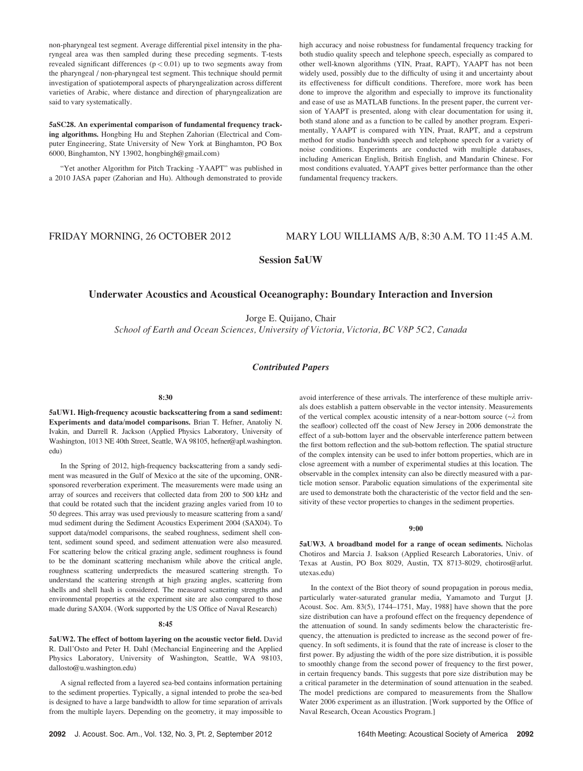non-pharyngeal test segment. Average differential pixel intensity in the pharyngeal area was then sampled during these preceding segments. T-tests revealed significant differences  $(p < 0.01)$  up to two segments away from the pharyngeal / non-pharyngeal test segment. This technique should permit investigation of spatiotemporal aspects of pharyngealization across different varieties of Arabic, where distance and direction of pharyngealization are said to vary systematically.

5aSC28. An experimental comparison of fundamental frequency tracking algorithms. Hongbing Hu and Stephen Zahorian (Electrical and Computer Engineering, State University of New York at Binghamton, PO Box 6000, Binghamton, NY 13902, hongbingh@gmail.com)

"Yet another Algorithm for Pitch Tracking -YAAPT" was published in a 2010 JASA paper (Zahorian and Hu). Although demonstrated to provide high accuracy and noise robustness for fundamental frequency tracking for both studio quality speech and telephone speech, especially as compared to other well-known algorithms (YIN, Praat, RAPT), YAAPT has not been widely used, possibly due to the difficulty of using it and uncertainty about its effectiveness for difficult conditions. Therefore, more work has been done to improve the algorithm and especially to improve its functionality and ease of use as MATLAB functions. In the present paper, the current version of YAAPT is presented, along with clear documentation for using it, both stand alone and as a function to be called by another program. Experimentally, YAAPT is compared with YIN, Praat, RAPT, and a cepstrum method for studio bandwidth speech and telephone speech for a variety of noise conditions. Experiments are conducted with multiple databases, including American English, British English, and Mandarin Chinese. For most conditions evaluated, YAAPT gives better performance than the other fundamental frequency trackers.

# FRIDAY MORNING, 26 OCTOBER 2012 MARY LOU WILLIAMS A/B, 8:30 A.M. TO 11:45 A.M.

Session 5aUW

# Underwater Acoustics and Acoustical Oceanography: Boundary Interaction and Inversion

Jorge E. Quijano, Chair

School of Earth and Ocean Sciences, University of Victoria, Victoria, BC V8P 5C2, Canada

## Contributed Papers

#### 8:30

5aUW1. High-frequency acoustic backscattering from a sand sediment: Experiments and data/model comparisons. Brian T. Hefner, Anatoliy N. Ivakin, and Darrell R. Jackson (Applied Physics Laboratory, University of Washington, 1013 NE 40th Street, Seattle, WA 98105, hefner@apl.washington. edu)

In the Spring of 2012, high-frequency backscattering from a sandy sediment was measured in the Gulf of Mexico at the site of the upcoming, ONRsponsored reverberation experiment. The measurements were made using an array of sources and receivers that collected data from 200 to 500 kHz and that could be rotated such that the incident grazing angles varied from 10 to 50 degrees. This array was used previously to measure scattering from a sand/ mud sediment during the Sediment Acoustics Experiment 2004 (SAX04). To support data/model comparisons, the seabed roughness, sediment shell content, sediment sound speed, and sediment attenuation were also measured. For scattering below the critical grazing angle, sediment roughness is found to be the dominant scattering mechanism while above the critical angle, roughness scattering underpredicts the measured scattering strength. To understand the scattering strength at high grazing angles, scattering from shells and shell hash is considered. The measured scattering strengths and environmental properties at the experiment site are also compared to those made during SAX04. (Work supported by the US Office of Naval Research)

## 8:45

5aUW2. The effect of bottom layering on the acoustic vector field. David R. Dall'Osto and Peter H. Dahl (Mechancial Engineering and the Applied Physics Laboratory, University of Washington, Seattle, WA 98103, dallosto@u.washington.edu)

A signal reflected from a layered sea-bed contains information pertaining to the sediment properties. Typically, a signal intended to probe the sea-bed is designed to have a large bandwidth to allow for time separation of arrivals from the multiple layers. Depending on the geometry, it may impossible to avoid interference of these arrivals. The interference of these multiple arrivals does establish a pattern observable in the vector intensity. Measurements of the vertical complex acoustic intensity of a near-bottom source  $(\sim \lambda)$  from the seafloor) collected off the coast of New Jersey in 2006 demonstrate the effect of a sub-bottom layer and the observable interference pattern between the first bottom reflection and the sub-bottom reflection. The spatial structure of the complex intensity can be used to infer bottom properties, which are in close agreement with a number of experimental studies at this location. The observable in the complex intensity can also be directly measured with a particle motion sensor. Parabolic equation simulations of the experimental site are used to demonstrate both the characteristic of the vector field and the sensitivity of these vector properties to changes in the sediment properties.

#### 9:00

5aUW3. A broadband model for a range of ocean sediments. Nicholas Chotiros and Marcia J. Isakson (Applied Research Laboratories, Univ. of Texas at Austin, PO Box 8029, Austin, TX 8713-8029, chotiros@arlut. utexas.edu)

In the context of the Biot theory of sound propagation in porous media, particularly water-saturated granular media, Yamamoto and Turgut [J. Acoust. Soc. Am. 83(5), 1744–1751, May, 1988] have shown that the pore size distribution can have a profound effect on the frequency dependence of the attenuation of sound. In sandy sediments below the characteristic frequency, the attenuation is predicted to increase as the second power of frequency. In soft sediments, it is found that the rate of increase is closer to the first power. By adjusting the width of the pore size distribution, it is possible to smoothly change from the second power of frequency to the first power, in certain frequency bands. This suggests that pore size distribution may be a critical parameter in the determination of sound attenuation in the seabed. The model predictions are compared to measurements from the Shallow Water 2006 experiment as an illustration. [Work supported by the Office of Naval Research, Ocean Acoustics Program.]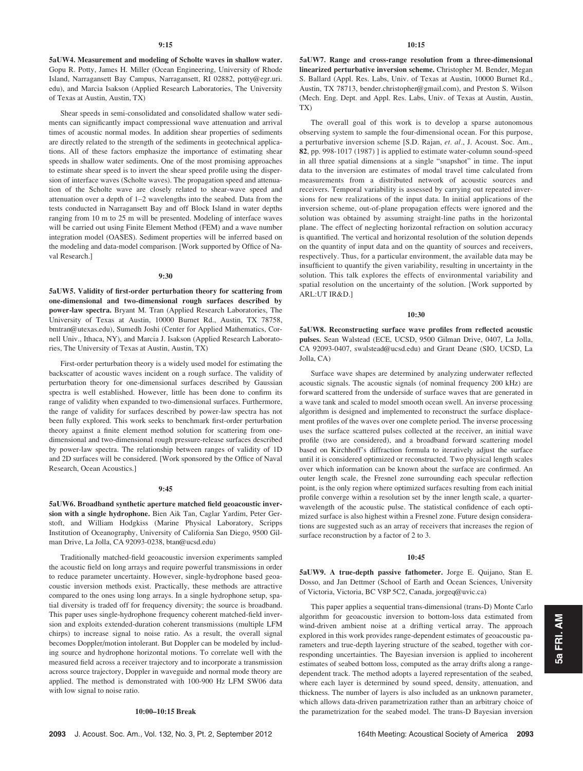5aUW4. Measurement and modeling of Scholte waves in shallow water. Gopu R. Potty, James H. Miller (Ocean Engineering, University of Rhode Island, Narragansett Bay Campus, Narragansett, RI 02882, potty@egr.uri. edu), and Marcia Isakson (Applied Research Laboratories, The University of Texas at Austin, Austin, TX)

Shear speeds in semi-consolidated and consolidated shallow water sediments can significantly impact compressional wave attenuation and arrival times of acoustic normal modes. In addition shear properties of sediments are directly related to the strength of the sediments in geotechnical applications. All of these factors emphasize the importance of estimating shear speeds in shallow water sediments. One of the most promising approaches to estimate shear speed is to invert the shear speed profile using the dispersion of interface waves (Scholte waves). The propagation speed and attenuation of the Scholte wave are closely related to shear-wave speed and attenuation over a depth of 1–2 wavelengths into the seabed. Data from the tests conducted in Narragansett Bay and off Block Island in water depths ranging from 10 m to 25 m will be presented. Modeling of interface waves will be carried out using Finite Element Method (FEM) and a wave number integration model (OASES). Sediment properties will be inferred based on the modeling and data-model comparison. [Work supported by Office of Naval Research.]

## 9:30

5aUW5. Validity of first-order perturbation theory for scattering from one-dimensional and two-dimensional rough surfaces described by power-law spectra. Bryant M. Tran (Applied Research Laboratories, The University of Texas at Austin, 10000 Burnet Rd., Austin, TX 78758, bmtran@utexas.edu), Sumedh Joshi (Center for Applied Mathematics, Cornell Univ., Ithaca, NY), and Marcia J. Isakson (Applied Research Laboratories, The University of Texas at Austin, Austin, TX)

First-order perturbation theory is a widely used model for estimating the backscatter of acoustic waves incident on a rough surface. The validity of perturbation theory for one-dimensional surfaces described by Gaussian spectra is well established. However, little has been done to confirm its range of validity when expanded to two-dimensional surfaces. Furthermore, the range of validity for surfaces described by power-law spectra has not been fully explored. This work seeks to benchmark first-order perturbation theory against a finite element method solution for scattering from onedimensional and two-dimensional rough pressure-release surfaces described by power-law spectra. The relationship between ranges of validity of 1D and 2D surfaces will be considered. [Work sponsored by the Office of Naval Research, Ocean Acoustics.]

## 9:45

5aUW6. Broadband synthetic aperture matched field geoacoustic inversion with a single hydrophone. Bien Aik Tan, Caglar Yardim, Peter Gerstoft, and William Hodgkiss (Marine Physical Laboratory, Scripps Institution of Oceanography, University of California San Diego, 9500 Gilman Drive, La Jolla, CA 92093-0238, btan@ucsd.edu)

Traditionally matched-field geoacoustic inversion experiments sampled the acoustic field on long arrays and require powerful transmissions in order to reduce parameter uncertainty. However, single-hydrophone based geoacoustic inversion methods exist. Practically, these methods are attractive compared to the ones using long arrays. In a single hydrophone setup, spatial diversity is traded off for frequency diversity; the source is broadband. This paper uses single-hydrophone frequency coherent matched-field inversion and exploits extended-duration coherent transmissions (multiple LFM chirps) to increase signal to noise ratio. As a result, the overall signal becomes Doppler/motion intolerant. But Doppler can be modeled by including source and hydrophone horizontal motions. To correlate well with the measured field across a receiver trajectory and to incorporate a transmission across source trajectory, Doppler in waveguide and normal mode theory are applied. The method is demonstrated with 100-900 Hz LFM SW06 data with low signal to noise ratio.

### 10:00–10:15 Break

5aUW7. Range and cross-range resolution from a three-dimensional linearized perturbative inversion scheme. Christopher M. Bender, Megan S. Ballard (Appl. Res. Labs, Univ. of Texas at Austin, 10000 Burnet Rd., Austin, TX 78713, bender.christopher@gmail.com), and Preston S. Wilson (Mech. Eng. Dept. and Appl. Res. Labs, Univ. of Texas at Austin, Austin, TX)

The overall goal of this work is to develop a sparse autonomous observing system to sample the four-dimensional ocean. For this purpose, a perturbative inversion scheme [S.D. Rajan, et. al., J. Acoust. Soc. Am., 82, pp. 998-1017 (1987) ] is applied to estimate water-column sound-speed in all three spatial dimensions at a single "snapshot" in time. The input data to the inversion are estimates of modal travel time calculated from measurements from a distributed network of acoustic sources and receivers. Temporal variability is assessed by carrying out repeated inversions for new realizations of the input data. In initial applications of the inversion scheme, out-of-plane propagation effects were ignored and the solution was obtained by assuming straight-line paths in the horizontal plane. The effect of neglecting horizontal refraction on solution accuracy is quantified. The vertical and horizontal resolution of the solution depends on the quantity of input data and on the quantity of sources and receivers, respectively. Thus, for a particular environment, the available data may be insufficient to quantify the given variability, resulting in uncertainty in the solution. This talk explores the effects of environmental variability and spatial resolution on the uncertainty of the solution. [Work supported by ARL:UT IR&D.]

## 10:30

5aUW8. Reconstructing surface wave profiles from reflected acoustic pulses. Sean Walstead (ECE, UCSD, 9500 Gilman Drive, 0407, La Jolla, CA 92093-0407, swalstead@ucsd.edu) and Grant Deane (SIO, UCSD, La Jolla, CA)

Surface wave shapes are determined by analyzing underwater reflected acoustic signals. The acoustic signals (of nominal frequency 200 kHz) are forward scattered from the underside of surface waves that are generated in a wave tank and scaled to model smooth ocean swell. An inverse processing algorithm is designed and implemented to reconstruct the surface displacement profiles of the waves over one complete period. The inverse processing uses the surface scattered pulses collected at the receiver, an initial wave profile (two are considered), and a broadband forward scattering model based on Kirchhoff's diffraction formula to iteratively adjust the surface until it is considered optimized or reconstructed. Two physical length scales over which information can be known about the surface are confirmed. An outer length scale, the Fresnel zone surrounding each specular reflection point, is the only region where optimized surfaces resulting from each initial profile converge within a resolution set by the inner length scale, a quarterwavelength of the acoustic pulse. The statistical confidence of each optimized surface is also highest within a Fresnel zone. Future design considerations are suggested such as an array of receivers that increases the region of surface reconstruction by a factor of 2 to 3.

## 10:45

5aUW9. A true-depth passive fathometer. Jorge E. Quijano, Stan E. Dosso, and Jan Dettmer (School of Earth and Ocean Sciences, University of Victoria, Victoria, BC V8P 5C2, Canada, jorgeq@uvic.ca)

This paper applies a sequential trans-dimensional (trans-D) Monte Carlo algorithm for geoacoustic inversion to bottom-loss data estimated from wind-driven ambient noise at a drifting vertical array. The approach explored in this work provides range-dependent estimates of geoacoustic parameters and true-depth layering structure of the seabed, together with corresponding uncertainties. The Bayesian inversion is applied to incoherent estimates of seabed bottom loss, computed as the array drifts along a rangedependent track. The method adopts a layered representation of the seabed, where each layer is determined by sound speed, density, attenuation, and thickness. The number of layers is also included as an unknown parameter, which allows data-driven parametrization rather than an arbitrary choice of the parametrization for the seabed model. The trans-D Bayesian inversion